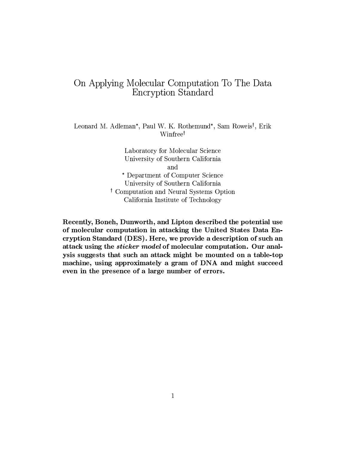# On Applying Molecular Computation To The Data **Encryption Standard**

Leonard M. Adleman\*, Paul W. K. Rothemund\*, Sam Roweis<sup>†</sup>, Erik Winfreet

> Laboratory for Molecular Science University of Southern California and \* Department of Computer Science University of Southern California <sup>†</sup> Computation and Neural Systems Option California Institute of Technology

Recently, Boneh, Dunworth, and Lipton described the potential use of molecular computation in attacking the United States Data Encryption Standard (DES). Here, we provide a description of such an attack using the *sticker model* of molecular computation. Our analysis suggests that such an attack might be mounted on a table-top machine, using approximately a gram of DNA and might succeed even in the presence of a large number of errors.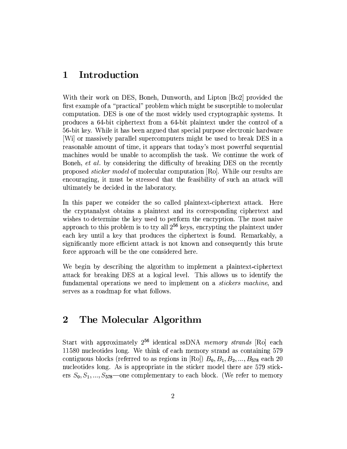### Introduction 1

With their work on DES, Boneh, Dunworth, and Lipton [Bo2] provided the first example of a "practical" problem which might be susceptible to molecular computation. DES is one of the most widely used cryptographic systems. It produces a 64-bit ciphertext from a 64-bit plaintext under the control of a 56-bit key. While it has been argued that special purpose electronic hardware Wil or massively parallel supercomputers might be used to break DES in a reasonable amount of time, it appears that today's most powerful sequential machines would be unable to accomplish the task. We continue the work of Boneh, et al. by considering the difficulty of breaking DES on the recently proposed *sticker model* of molecular computation [Ro]. While our results are encouraging, it must be stressed that the feasibility of such an attack will ultimately be decided in the laboratory.

In this paper we consider the so called plaintext-ciphertext attack. Here the cryptanalyst obtains a plaintext and its corresponding ciphertext and wishes to determine the key used to perform the encryption. The most naive approach to this problem is to try all  $2^{56}$  keys, encrypting the plaintext under each key until a key that produces the ciphertext is found. Remarkably, a significantly more efficient attack is not known and consequently this brute force approach will be the one considered here.

We begin by describing the algorithm to implement a plaintext-ciphertext attack for breaking DES at a logical level. This allows us to identify the fundamental operations we need to implement on a *stickers machine*, and serves as a roadmap for what follows.

## $\overline{2}$ The Molecular Algorithm

Start with approximately  $2^{56}$  identical ssDNA memory strands [Ro] each 11580 nucleotides long. We think of each memory strand as containing 579 contiguous blocks (referred to as regions in [Ro])  $B_0, B_1, B_2, ..., B_{578}$  each 20 nucleotides long. As is appropriate in the sticker model there are 579 stickers  $S_0, S_1, ..., S_{578}$  – one complementary to each block. (We refer to memory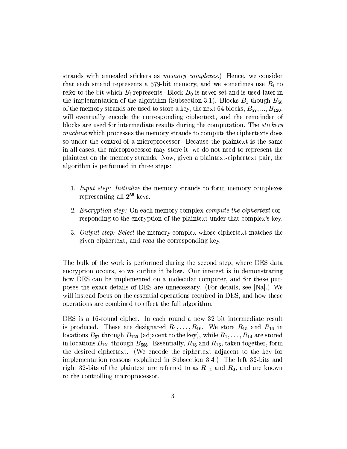strands with annealed stickers as *memory complexes*.) Hence, we consider that each strand represents a 579-bit memory, and we sometimes use  $B_i$  to refer to the bit which  $B_i$  represents. Block  $B_0$  is never set and is used later in the implementation of the algorithm (Subsection 3.1). Blocks  $B_1$  though  $B_{56}$ of the memory strands are used to store a key, the next 64 blocks,  $B_{57},...,B_{120}$ , will eventually encode the corresponding ciphertext, and the remainder of blocks are used for intermediate results during the computation. The *stickers machine* which processes the memory strands to compute the ciphertexts does so under the control of a microprocessor. Because the plaintext is the same in all cases, the microprocessor may store it; we do not need to represent the plaintext on the memory strands. Now, given a plaintext-ciphertext pair, the algorithm is performed in three steps:

- 1. *Input step: Initialize* the memory strands to form memory complexes representing all  $2^{56}$  keys.
- 2. *Encryption step:* On each memory complex *compute the ciphertext* corresponding to the encryption of the plaintext under that complex's key.
- 3. Output step: Select the memory complex whose ciphertext matches the given ciphertext, and read the corresponding key.

The bulk of the work is performed during the second step, where DES data encryption occurs, so we outline it below. Our interest is in demonstrating how DES can be implemented on a molecular computer, and for these purposes the exact details of DES are unnecessary. (For details, see [Na].) We will instead focus on the essential operations required in DES, and how these operations are combined to effect the full algorithm.

DES is a 16-round cipher. In each round a new 32 bit intermediate result is produced. These are designated  $R_1, \ldots, R_{16}$ . We store  $R_{15}$  and  $R_{16}$  in locations  $B_{57}$  through  $B_{120}$  (adjacent to the key), while  $R_1, \ldots, R_{14}$  are stored in locations  $B_{121}$  through  $B_{568}$ . Essentially,  $R_{15}$  and  $R_{16}$ , taken together, form the desired ciphertext. (We encode the ciphertext adjacent to the key for implementation reasons explained in Subsection 3.4.) The left 32-bits and right 32-bits of the plaintext are referred to as  $R_{-1}$  and  $R_0$ , and are known to the controlling microprocessor.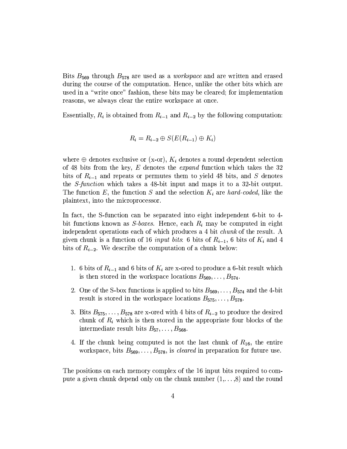Bits  $B_{569}$  through  $B_{578}$  are used as a *workspace* and are written and erased during the course of the computation. Hence, unlike the other bits which are used in a "write once" fashion, these bits may be cleared; for implementation reasons, we always clear the entire workspace at once.

Essentially,  $R_i$  is obtained from  $R_{i-1}$  and  $R_{i-2}$  by the following computation:

$$
R_i = R_{i-2} \oplus S(E(R_{i-1}) \oplus K_i)
$$

where  $\oplus$  denotes exclusive or (x-or),  $K_i$  denotes a round dependent selection of 48 bits from the key,  $E$  denotes the *expand* function which takes the 32 bits of  $R_{i-1}$  and repeats or permutes them to yield 48 bits, and S denotes the *S-function* which takes a 48-bit input and maps it to a 32-bit output. The function E, the function S and the selection  $K_i$  are hard-coded, like the plaintext, into the microprocessor.

In fact, the S-function can be separated into eight independent 6-bit to 4bit functions known as *S*-boxes. Hence, each  $R_i$  may be computed in eight independent operations each of which produces a 4 bit *chunk* of the result. A given chunk is a function of 16 *input bits*: 6 bits of  $R_{i-1}$ , 6 bits of  $K_i$  and 4 bits of  $R_{i-2}$ . We describe the computation of a chunk below:

- 1. 6 bits of  $R_{i-1}$  and 6 bits of  $K_i$  are x-ored to produce a 6-bit result which is then stored in the workspace locations  $B_{569}, \ldots, B_{574}$ .
- 2. One of the S-box functions is applied to bits  $B_{569}, \ldots, B_{574}$  and the 4-bit result is stored in the workspace locations  $B_{575}, \ldots, B_{578}$ .
- 3. Bits  $B_{575}, \ldots, B_{578}$  are x-ored with 4 bits of  $R_{i-2}$  to produce the desired chunk of  $R_i$  which is then stored in the appropriate four blocks of the intermediate result bits  $B_{57}, \ldots, B_{568}$ .
- 4. If the chunk being computed is not the last chunk of  $R_{16}$ , the entire workspace, bits  $B_{569}, \ldots, B_{578}$ , is *cleared* in preparation for future use.

The positions on each memory complex of the 16 input bits required to compute a given chunk depend only on the chunk number  $(1,\ldots,8)$  and the round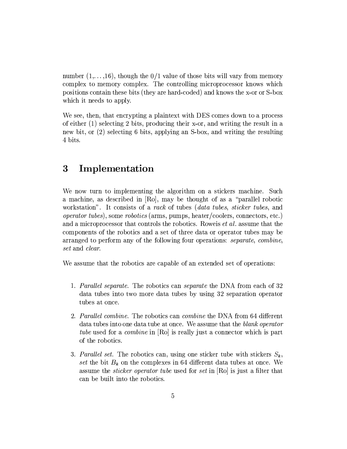number  $(1, \ldots, 16)$ , though the  $0/1$  value of those bits will vary from memory complex to memory complex. The controlling microprocessor knows which positions contain these bits (they are hard-coded) and knows the x-or or S-box which it needs to apply.

We see, then, that encrypting a plaintext with DES comes down to a process of either  $(1)$  selecting 2 bits, producing their x-or, and writing the result in a new bit, or (2) selecting 6 bits, applying an S-box, and writing the resulting 4 bits.

## $\bf{3}$ Implementation

We now turn to implementing the algorithm on a stickers machine. Such a machine, as described in [Ro], may be thought of as a "parallel robotic workstation". It consists of a rack of tubes (data tubes, sticker tubes, and *operator tubes*), some *robotics* (arms, pumps, heater/coolers, connectors, etc.) and a microprocessor that controls the robotics. Roweis *et al.* assume that the components of the robotics and a set of three data or operator tubes may be arranged to perform any of the following four operations: separate, combine, set and clear.

We assume that the robotics are capable of an extended set of operations:

- 1. Parallel separate. The robotics can separate the DNA from each of 32 data tubes into two more data tubes by using 32 separation operator tubes at once.
- 2. Parallel combine. The robotics can combine the DNA from 64 different data tubes into one data tube at once. We assume that the blank operator *tube* used for a *combine* in [Ro] is really just a connector which is part of the robotics.
- 3. Parallel set. The robotics can, using one sticker tube with stickers  $S_k$ , set the bit  $B_k$  on the complexes in 64 different data tubes at once. We assume the *sticker operator tube* used for *set* in  $\lbrack \mathrm{Ro} \rbrack$  is just a filter that can be built into the robotics.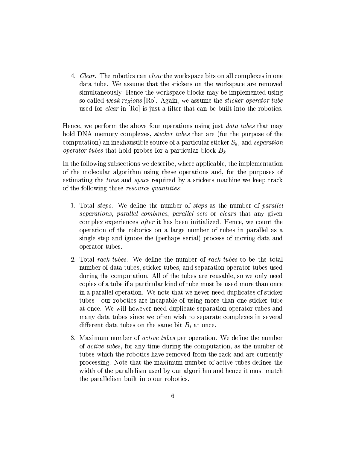4. Clear. The robotics can clear the workspace bits on all complexes in one data tube. We assume that the stickers on the workspace are removed simultaneously. Hence the workspace blocks may be implemented using so called *weak regions* [Ro]. Again, we assume the *sticker operator tube* used for *clear* in [Ro] is just a filter that can be built into the robotics.

Hence, we perform the above four operations using just *data tubes* that may hold DNA memory complexes, *sticker tubes* that are (for the purpose of the computation) an inexhaustible source of a particular sticker  $S_k$ , and separation *operator tubes* that hold probes for a particular block  $B_k$ .

In the following subsections we describe, where applicable, the implementation of the molecular algorithm using these operations and, for the purposes of estimating the *time* and *space* required by a stickers machine we keep track of the following three *resource* quantities:

- 1. Total *steps*. We define the number of *steps* as the number of *parallel* separations, parallel combines, parallel sets or clears that any given complex experiences *after* it has been initialized. Hence, we count the operation of the robotics on a large number of tubes in parallel as a single step and ignore the (perhaps serial) process of moving data and operator tubes.
- 2. Total rack tubes. We define the number of rack tubes to be the total number of data tubes, sticker tubes, and separation operator tubes used during the computation. All of the tubes are reusable, so we only need copies of a tube if a particular kind of tube must be used more than once in a parallel operation. We note that we never need duplicates of sticker tubes—our robotics are incapable of using more than one sticker tube at once. We will however need duplicate separation operator tubes and many data tubes since we often wish to separate complexes in several different data tubes on the same bit  $B_i$  at once.
- 3. Maximum number of *active tubes* per operation. We define the number of *active tubes*, for any time during the computation, as the number of tubes which the robotics have removed from the rack and are currently processing. Note that the maximum number of active tubes defines the width of the parallelism used by our algorithm and hence it must match the parallelism built into our robotics.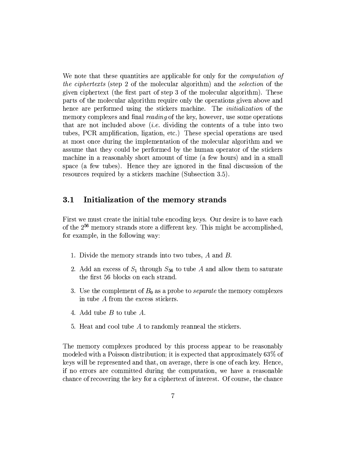We note that these quantities are applicable for only for the *computation* of *the ciphertexts* (step 2 of the molecular algorithm) and the *selection* of the given ciphertext (the first part of step 3 of the molecular algorithm). These parts of the molecular algorithm require only the operations given above and hence are performed using the stickers machine. The *initialization* of the memory complexes and final *reading* of the key, however, use some operations that are not included above *(i.e.* dividing the contents of a tube into two tubes, PCR amplification, ligation, etc.) These special operations are used at most once during the implementation of the molecular algorithm and we assume that they could be performed by the human operator of the stickers machine in a reasonably short amount of time (a few hours) and in a small space (a few tubes). Hence they are ignored in the final discussion of the resources required by a stickers machine (Subsection 3.5).

#### $3.1$ Initialization of the memory strands

First we must create the initial tube encoding keys. Our desire is to have each of the  $2^{56}$  memory strands store a different key. This might be accomplished, for example, in the following way:

- 1. Divide the memory strands into two tubes, A and B.
- 2. Add an excess of  $S_1$  through  $S_{56}$  to tube A and allow them to saturate the first 56 blocks on each strand.
- 3. Use the complement of  $B_0$  as a probe to *separate* the memory complexes in tube  $A$  from the excess stickers.
- 4. Add tube  $B$  to tube  $A$ .
- 5. Heat and cool tube  $A$  to randomly reanneal the stickers.

The memory complexes produced by this process appear to be reasonably modeled with a Poisson distribution; it is expected that approximately 63% of keys will be represented and that, on average, there is one of each key. Hence, if no errors are committed during the computation, we have a reasonable chance of recovering the key for a ciphertext of interest. Of course, the chance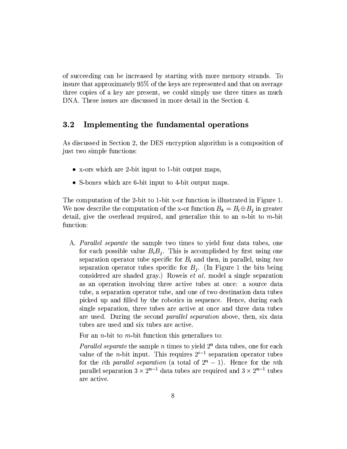of succeeding can be increased by starting with more memory strands. To insure that approximately 95% of the keys are represented and that on average three copies of a key are present, we could simply use three times as much DNA. These issues are discussed in more detail in the Section 4.

#### $3.2$ Implementing the fundamental operations

As discussed in Section 2, the DES encryption algorithm is a composition of just two simple functions:

- x-ors which are 2-bit input to 1-bit output maps,
- S-boxes which are 6-bit input to 4-bit output maps.

The computation of the 2-bit to 1-bit x-or function is illustrated in Figure 1. We now describe the computation of the x-or function  $B_k = B_i \oplus B_j$  in greater detail, give the overhead required, and generalize this to an  $n$ -bit to  $m$ -bit function:

A. Parallel separate the sample two times to yield four data tubes, one for each possible value  $B_i B_j$ . This is accomplished by first using one separation operator tube specific for  $B_i$  and then, in parallel, using two separation operator tubes specific for  $B_i$ . (In Figure 1 the bits being considered are shaded gray.) Roweis et al. model a single separation as an operation involving three active tubes at once: a source data tube, a separation operator tube, and one of two destination data tubes picked up and filled by the robotics in sequence. Hence, during each single separation, three tubes are active at once and three data tubes are used. During the second *parallel separation* above, then, six data tubes are used and six tubes are active.

For an *n*-bit to *m*-bit function this generalizes to:

*Parallel separate* the sample *n* times to yield  $2<sup>n</sup>$  data tubes, one for each value of the *n*-bit input. This requires  $2^{i-1}$  separation operator tubes for the *i*th *parallel separation* (a total of  $2^n - 1$ ). Hence for the *n*th parallel separation  $3 \times 2^{n-1}$  data tubes are required and  $3 \times 2^{n-1}$  tubes are active.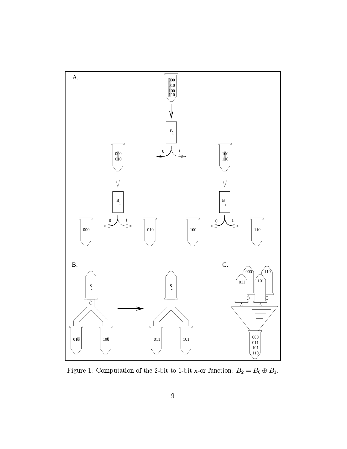

Figure 1: Computation of the 2-bit to 1-bit x-or function:  $B_2 = B_0 \oplus B_1$ .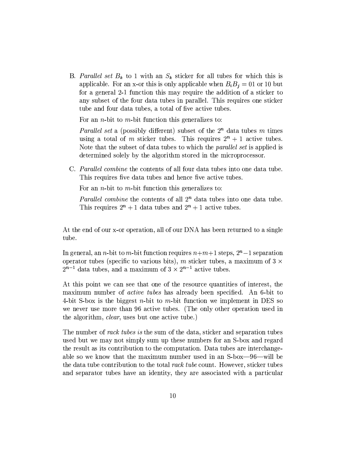B. Parallel set  $B_k$  to 1 with an  $S_k$  sticker for all tubes for which this is applicable. For an x-or this is only applicable when  $B_i B_j = 01$  or 10 but for a general 2-1 function this may require the addition of a sticker to any subset of the four data tubes in parallel. This requires one sticker tube and four data tubes, a total of five active tubes.

For an *n*-bit to *m*-bit function this generalizes to:

*Parallel set* a (possibly different) subset of the  $2<sup>n</sup>$  data tubes m times using a total of m sticker tubes. This requires  $2^n + 1$  active tubes. Note that the subset of data tubes to which the *parallel set* is applied is determined solely by the algorithm stored in the microprocessor.

C. Parallel combine the contents of all four data tubes into one data tube. This requires five data tubes and hence five active tubes.

For an *n*-bit to *m*-bit function this generalizes to:

*Parallel combine* the contents of all  $2<sup>n</sup>$  data tubes into one data tube. This requires  $2^n + 1$  data tubes and  $2^n + 1$  active tubes.

At the end of our x-or operation, all of our DNA has been returned to a single tube.

In general, an *n*-bit to *m*-bit function requires  $n+m+1$  steps,  $2^n-1$  separation operator tubes (specific to various bits), m sticker tubes, a maximum of  $3 \times$  $2^{n-1}$  data tubes, and a maximum of  $3 \times 2^{n-1}$  active tubes.

At this point we can see that one of the resource quantities of interest, the maximum number of *active tubes* has already been specified. An 6-bit to 4-bit S-box is the biggest *n*-bit to *m*-bit function we implement in DES so we never use more than 96 active tubes. (The only other operation used in the algorithm, *clear*, uses but one active tube.)

The number of rack tubes is the sum of the data, sticker and separation tubes used but we may not simply sum up these numbers for an S-box and regard the result as its contribution to the computation. Data tubes are interchangeable so we know that the maximum number used in an  $S-box-96$ —will be the data tube contribution to the total rack tube count. However, sticker tubes and separator tubes have an identity, they are associated with a particular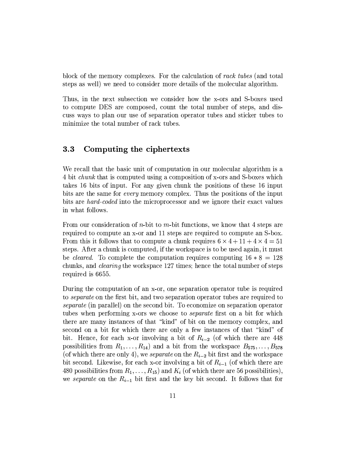block of the memory complexes. For the calculation of rack tubes (and total steps as well) we need to consider more details of the molecular algorithm.

Thus, in the next subsection we consider how the x-ors and S-boxes used to compute DES are composed, count the total number of steps, and discuss ways to plan our use of separation operator tubes and sticker tubes to minimize the total number of rack tubes.

#### $3.3$ Computing the ciphertexts

We recall that the basic unit of computation in our molecular algorithm is a 4 bit *chunk* that is computed using a composition of x-ors and S-boxes which takes 16 bits of input. For any given chunk the positions of these 16 input bits are the same for *every* memory complex. Thus the positions of the input bits are *hard-coded* into the microprocessor and we ignore their exact values in what follows.

From our consideration of  $n$ -bit to  $m$ -bit functions, we know that 4 steps are required to compute an x-or and 11 steps are required to compute an S-box. From this it follows that to compute a chunk requires  $6 \times 4 + 11 + 4 \times 4 = 51$ steps. After a chunk is computed, if the workspace is to be used again, it must be *cleared*. To complete the computation requires computing  $16 * 8 = 128$ chunks, and *clearing* the workspace 127 times; hence the total number of steps required is 6655.

During the computation of an x-or, one separation operator tube is required to *separate* on the first bit, and two separation operator tubes are required to *separate* (in parallel) on the second bit. To economize on separation operator tubes when performing x-ors we choose to *separate* first on a bit for which there are many instances of that "kind" of bit on the memory complex, and second on a bit for which there are only a few instances of that "kind" of bit. Hence, for each x-or involving a bit of  $R_{i-2}$  (of which there are 448 possibilities from  $R_1, \ldots, R_{14}$  and a bit from the workspace  $B_{575}, \ldots, B_{578}$ (of which there are only 4), we *separate* on the  $R_{i-2}$  bit first and the workspace bit second. Likewise, for each x-or involving a bit of  $R_{i-1}$  (of which there are 480 possibilities from  $R_1, \ldots, R_{15}$  and  $K_i$  (of which there are 56 possibilities), we separate on the  $R_{i-1}$  bit first and the key bit second. It follows that for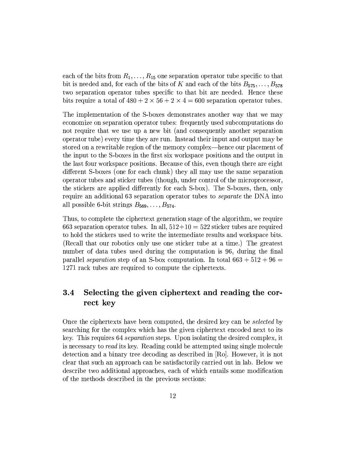each of the bits from  $R_1, \ldots, R_{15}$  one separation operator tube specific to that bit is needed and, for each of the bits of K and each of the bits  $B_{575}$ ,...,  $B_{578}$ two separation operator tubes specific to that bit are needed. Hence these bits require a total of  $480 + 2 \times 56 + 2 \times 4 = 600$  separation operator tubes.

The implementation of the S-boxes demonstrates another way that we may economize on separation operator tubes: frequently used subcomputations do not require that we use up a new bit (and consequently another separation operator tube) every time they are run. Instead their input and output may be stored on a rewritable region of the memory complex—hence our placement of the input to the S-boxes in the first six workspace positions and the output in the last four workspace positions. Because of this, even though there are eight different S-boxes (one for each chunk) they all may use the same separation operator tubes and sticker tubes (though, under control of the microprocessor, the stickers are applied differently for each S-box). The S-boxes, then, only require an additional 63 separation operator tubes to *separate* the DNA into all possible 6-bit strings  $B_{569}, \ldots, B_{574}$ .

Thus, to complete the ciphertext generation stage of the algorithm, we require 663 separation operator tubes. In all,  $512+10 = 522$  sticker tubes are required to hold the stickers used to write the intermediate results and workspace bits. (Recall that our robotics only use one sticker tube at a time.) The greatest number of data tubes used during the computation is 96, during the final parallel *separation* step of an S-box computation. In total  $663 + 512 + 96 =$ 1271 rack tubes are required to compute the ciphertexts.

# $3.4$ Selecting the given ciphertext and reading the correct key

Once the ciphertexts have been computed, the desired key can be *selected* by searching for the complex which has the given ciphertext encoded next to its key. This requires 64 *separation* steps. Upon isolating the desired complex, it is necessary to read its key. Reading could be attempted using single molecule detection and a binary tree decoding as described in  $\lbrack \text{Ro} \rbrack$ . However, it is not clear that such an approach can be satisfactorily carried out in lab. Below we describe two additional approaches, each of which entails some modification of the methods described in the previous sections: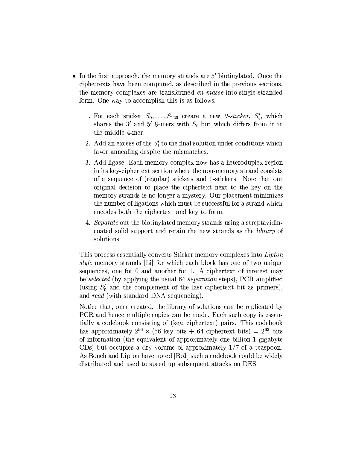- In the first approach, the memory strands are 5' biotinylated. Once the ciphertexts have been computed, as described in the previous sections, the memory complexes are transformed *en masse* into single-stranded form. One way to accomplish this is as follows:
	- $\alpha$  . The state  $\alpha$  are the state of the state of the state of the state of the state of the state of the state of the state of the state of the state of the state of the state of the state of the state of the state of shares the 3' and 5' 8-mers with  $S_i$  but which differs from it in the middle 4-mer.
	- 2. Add an excess of the  $S_i'$  to the final solution under conditions which favor annealing despite the mismatches.
	- 3. Add ligase. Each memory complex now has a heteroduplex region in its key-ciphertext section where the non-memory strand consists  $\blacksquare$ original decision to place the ciphertext next to the key on the memory strands is no longer a mystery. Our placement minimizes the number of ligations which must be successful for a strand which encodes both the ciphertext and key to form.
	- 4. Separate out the biotinylated memory strands using a streptavidin- $\bullet$  . The state of the state of the state of the state of the state of the state of the state of the state of the state of the state of the state of the state of the state of the state of the state of the state of the st solutions.

This process essentially converts Sticker memory complexes into *Lipton*  $style$  memory strands [Li] for which each block has one of two unique  $\blacksquare$ be selected (by applying the usual 64 separation steps), PCR amplified (using  $S'_0$  and the complement of the last ciphertext bit as primers), and  $read$  (with standard DNA sequencing).

Notice that, once created, the library of solutions can be replicated by PCR and hence multiple copies can be made. Each such copy is essentially a codebook consisting of (key, ciphertext) pairs. This codebook \~?&h^?&0J@<t9fyLN?g[
;MIytJ OQP <sup>z</sup> ( !}na;Mt¦sJf|[Bh !\$#}x=fyJ\0;=@[
;~[sJf|[BhU} P sJf|[Bh  $\overline{\phantom{a}}$  ,  $\overline{\phantom{a}}$  ,  $\overline{\phantom{a}}$  ,  $\overline{\phantom{a}}$  ,  $\overline{\phantom{a}}$  ,  $\overline{\phantom{a}}$  ,  $\overline{\phantom{a}}$  ,  $\overline{\phantom{a}}$  ,  $\overline{\phantom{a}}$  ,  $\overline{\phantom{a}}$  ,  $\overline{\phantom{a}}$  ,  $\overline{\phantom{a}}$  ,  $\overline{\phantom{a}}$  ,  $\overline{\phantom{a}}$  ,  $\overline{\phantom{a}}$  ,  $\overline{\phantom{a}}$ hU} sJS9[^<9xMx=SJ\_fK;gh?}AJ@t{3<aIKS\_L;u<ap8?&0J@<t9fyLN?g[
;MIyt <sup>Ò</sup> wx <&p8?[
;d?&h2<~<3>E  $\mathcal{A}=\mathcal{A}^{\mathcal{B}}$  , and the set of the set of the set of the set of the set of the set of the set of the set of the set of the set of the set of the set of the set of the set of the set of the set of the set of the se distributed and used to speed up subsequent attacks on DES.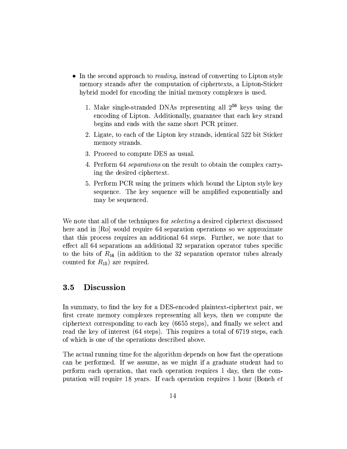- In the second approach to *reading*, instead of converting to Lipton style memory strands after the computation of ciphertexts, a Lipton-Sticker hybrid model for encoding the initial memory complexes is used.
	- 1. Make single-stranded DNAs representing all  $2^{56}$  keys using the encoding of Lipton. Additionally, guarantee that each key strand begins and ends with the same short PCR primer.
	- 2. Ligate, to each of the Lipton key strands, identical 522 bit Sticker memory strands.
	- 3. Proceed to compute DES as usual.
	- 4. Perform 64 *separations* on the result to obtain the complex carrying the desired ciphertext.
	- 5. Perform PCR using the primers which bound the Lipton style key sequence. The key sequence will be amplified exponentially and may be sequenced.

We note that all of the techniques for *selecting* a desired ciphertext discussed here and in  $\vert \text{Ro} \vert$  would require 64 separation operations so we approximate that this process requires an additional 64 steps. Further, we note that to effect all 64 separations an additional 32 separation operator tubes specific to the bits of  $R_{16}$  (in addition to the 32 separation operator tubes already counted for  $R_{15}$ ) are required.

#### $3.5$ **Discussion**

In summary, to find the key for a DES-encoded plaintext-ciphertext pair, we first create memory complexes representing all keys, then we compute the ciphertext corresponding to each key (6655 steps), and finally we select and read the key of interest (64 steps). This requires a total of 6719 steps, each of which is one of the operations described above.

The actual running time for the algorithm depends on how fast the operations can be performed. If we assume, as we might if a graduate student had to perform each operation, that each operation requires 1 day, then the computation will require 18 years. If each operation requires 1 hour (Boneh et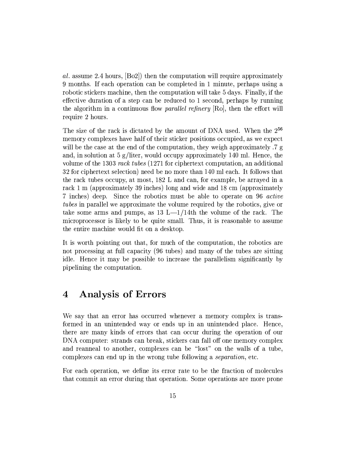al. assume 2.4 hours,  $[Bo2]$  then the computation will require approximately 9 months. If each operation can be completed in 1 minute, perhaps using a robotic stickers machine, then the computation will take 5 days. Finally, if the effective duration of a step can be reduced to 1 second, perhaps by running the algorithm in a continuous flow *parallel refinery* [Ro], then the effort will require 2 hours.

The size of the rack is dictated by the amount of DNA used. When the  $2^{56}$ memory complexes have half of their sticker positions occupied, as we expect will be the case at the end of the computation, they weigh approximately .7 g and, in solution at 5 g/liter, would occupy approximately 140 ml. Hence, the volume of the 1303 rack tubes (1271 for ciphertext computation, an additional 32 for ciphertext selection) need be no more than 140 ml each. It follows that the rack tubes occupy, at most, 182 L and can, for example, be arrayed in a rack 1 m (approximately 39 inches) long and wide and 18 cm (approximately 7 inches) deep. Since the robotics must be able to operate on 96 *active* tubes in parallel we approximate the volume required by the robotics, give or take some arms and pumps, as  $13 L-1/14$ th the volume of the rack. The microprocessor is likely to be quite small. Thus, it is reasonable to assume the entire machine would fit on a desktop.

It is worth pointing out that, for much of the computation, the robotics are not processing at full capacity (96 tubes) and many of the tubes are sitting idle. Hence it may be possible to increase the parallelism significantly by pipelining the computation.

### **Analysis of Errors**  $\boldsymbol{4}$

We say that an error has occurred whenever a memory complex is transformed in an unintended way or ends up in an unintended place. Hence, there are many kinds of errors that can occur during the operation of our DNA computer: strands can break, stickers can fall off one memory complex and reanneal to another, complexes can be "lost" on the walls of a tube, complexes can end up in the wrong tube following a *separation*, etc.

For each operation, we define its error rate to be the fraction of molecules that commit an error during that operation. Some operations are more prone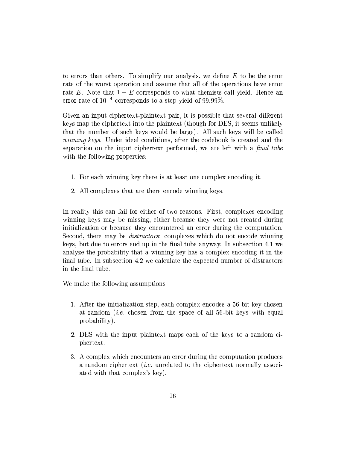to errors than others. To simplify our analysis, we define  $E$  to be the error rate of the worst operation and assume that all of the operations have error rate E. Note that  $1 - E$  corresponds to what chemists call yield. Hence an error rate of  $10^{-4}$  corresponds to a step yield of 99.99%.

Given an input ciphertext-plaintext pair, it is possible that several different keys map the ciphertext into the plaintext (though for DES, it seems unlikely that the number of such keys would be large). All such keys will be called *winning keys.* Under ideal conditions, after the codebook is created and the separation on the input ciphertext performed, we are left with a *final tube* with the following properties:

- 1. For each winning key there is at least one complex encoding it.
- 2. All complexes that are there encode winning keys.

In reality this can fail for either of two reasons. First, complexes encoding winning keys may be missing, either because they were not created during initialization or because they encountered an error during the computation. Second, there may be *distractors*: complexes which do not encode winning keys, but due to errors end up in the final tube anyway. In subsection 4.1 we analyze the probability that a winning key has a complex encoding it in the final tube. In subsection 4.2 we calculate the expected number of distractors in the final tube.

We make the following assumptions:

- 1. After the initialization step, each complex encodes a 56-bit key chosen at random (*i.e.* chosen from the space of all  $56$ -bit keys with equal probability).
- 2. DES with the input plaintext maps each of the keys to a random ciphertext.
- 3. A complex which encounters an error during the computation produces a random ciphertext *(i.e.* unrelated to the ciphertext normally associated with that complex's key).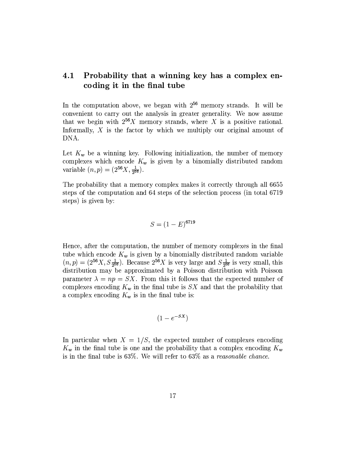# 4.1 Probability that a winning key has a complex encoding it in the final tube

In the computation above, we began with  $2^{56}$  memory strands. It will be convenient to carry out the analysis in greater generality. We now assume that we begin with  $2^{56}X$  memory strands, where X is a positive rational. Informally,  $X$  is the factor by which we multiply our original amount of DNA.

Let  $K_w$  be a winning key. Following initialization, the number of memory complexes which encode  $K_w$  is given by a binomially distributed random variable  $(n, p) = (2^{56}X, \frac{1}{2^{56}}).$ 

The probability that a memory complex makes it correctly through all 6655 steps of the computation and 64 steps of the selection process (in total 6719 steps) is given by:

$$
S = (1 - E)^{6719}
$$

Hence, after the computation, the number of memory complexes in the final tube which encode  $K_w$  is given by a binomially distributed random variable  $(n, p) = (2^{56}X, S_{\frac{1}{2^{56}}})$ . Because  $2^{56}X$  is very large and  $S_{\frac{1}{2^{56}}}$  is very small, this distribution may be approximated by a Poisson distribution with Poisson parameter  $\lambda = np = SX$ . From this it follows that the expected number of complexes encoding  $K_w$  in the final tube is  $SX$  and that the probability that a complex encoding  $K_w$  is in the final tube is:

$$
(1 - e^{-SX})
$$

In particular when  $X = 1/S$ , the expected number of complexes encoding  $K_w$  in the final tube is one and the probability that a complex encoding  $K_w$ is in the final tube is  $63\%$ . We will refer to  $63\%$  as a *reasonable chance*.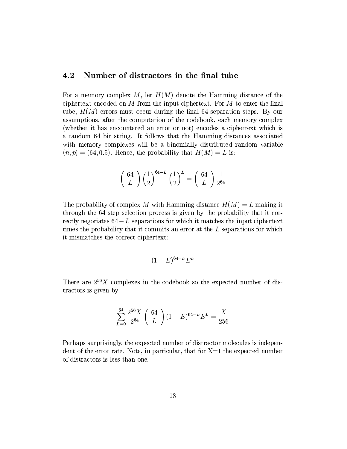#### 4.2 Number of distractors in the final tube

For a memory complex M, let  $H(M)$  denote the Hamming distance of the ciphertext encoded on  $M$  from the input ciphertext. For  $M$  to enter the final tube,  $H(M)$  errors must occur during the final 64 separation steps. By our assumptions, after the computation of the codebook, each memory complex (whether it has encountered an error or not) encodes a ciphertext which is a random 64 bit string. It follows that the Hamming distances associated with memory complexes will be a binomially distributed random variable  $(n, p) = (64, 0.5)$ . Hence, the probability that  $H(M) = L$  is:

$$
\left(\begin{array}{c} 64 \\ L \end{array}\right) \left(\frac{1}{2}\right)^{64-L} \left(\frac{1}{2}\right)^L = \left(\begin{array}{c} 64 \\ L \end{array}\right) \frac{1}{2^{64}}
$$

The probability of complex M with Hamming distance  $H(M) = L$  making it through the 64 step selection process is given by the probability that it correctly negotiates  $64 - L$  separations for which it matches the input ciphertext times the probability that it commits an error at the L separations for which it mismatches the correct ciphertext:

$$
(1-E)^{64-L}E^L
$$

There are  $2^{56}X$  complexes in the codebook so the expected number of distractors is given by:

$$
\sum_{L=0}^{64} \frac{2^{56}X}{2^{64}} \left(\begin{array}{c} 64 \\ L \end{array}\right) (1 - E)^{64 - L} E^{L} = \frac{X}{256}
$$

Perhaps surprisingly, the expected number of distractor molecules is independent of the error rate. Note, in particular, that for  $X=1$  the expected number of distractors is less than one.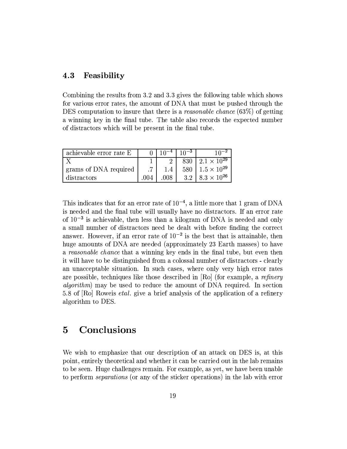#### 4.3 Feasibility

Combining the results from 3.2 and 3.3 gives the following table which shows for various error rates, the amount of DNA that must be pushed through the DES computation to insure that there is a *reasonable chance*  $(63\%)$  of getting a winning key in the final tube. The table also records the expected number of distractors which will be present in the final tube.

| achievable error rate E |      |    | $10 - 3$ |                               |
|-------------------------|------|----|----------|-------------------------------|
|                         |      |    | 830 1    | $12.1 \times 10^{29}$         |
| grams of DNA required   |      |    |          | $580 \mid 1.5 \times 10^{29}$ |
| distractors             | -004 | MR | 3.2      | $8.3 \times 10^{26}$          |

This indicates that for an error rate of  $10^{-4}$ , a little more that 1 gram of DNA is needed and the final tube will usually have no distractors. If an error rate of  $10^{-3}$  is achievable, then less than a kilogram of DNA is needed and only a small number of distractors need be dealt with before finding the correct answer. However, if an error rate of  $10^{-2}$  is the best that is attainable, then huge amounts of DNA are needed (approximately 23 Earth masses) to have a reasonable chance that a winning key ends in the final tube, but even then it will have to be distinguished from a colossal number of distractors - clearly an unacceptable situation. In such cases, where only very high error rates are possible, techniques like those described in [Ro] (for example, a refinery *algorithm*) may be used to reduce the amount of DNA required. In section 5.8 of [Ro] Roweis *etal*. give a brief analysis of the application of a refinery algorithm to DES.

### $\overline{5}$ Conclusions

We wish to emphasize that our description of an attack on DES is, at this point, entirely theoretical and whether it can be carried out in the lab remains to be seen. Huge challenges remain. For example, as yet, we have been unable to perform *separations* (or any of the sticker operations) in the lab with error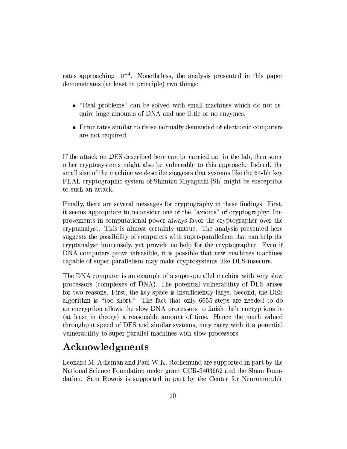rates approaching  $10^{-4}$ . Nonetheless, the analysis presented in this paper demonstrates (at least in principle) two things:

- "Real problems" can be solved with small machines which do not require huge amounts of DNA and use little or no enzymes.
- Error rates similar to those normally demanded of electronic computers are not required.

If the attack on DES described here can be carried out in the lab, then some other cryptosystems might also be vulnerable to this approach. Indeed, the small size of the machine we describe suggests that systems like the 64-bit key FEAL cryptographic system of Shimizu-Miyaguchi [Sh] might be susceptible to such an attack.

Finally, there are several messages for cryptography in these findings. First, it seems appropriate to reconsider one of the "axioms" of cryptography: Improvements in computational power always favor the cryptographer over the cryptanalyst. This is almost certainly untrue. The analysis presented here suggests the possibility of computers with super-parallelism that can help the cryptanalyst immensely, yet provide no help for the cryptographer. Even if DNA computers prove infeasible, it is possible that new machines machines capable of super-parallelism may make cryptosystems like DES insecure.

The DNA computer is an example of a super-parallel machine with very slow processors (complexes of DNA). The potential vulnerability of DES arises for two reasons. First, the key space is insufficiently large. Second, the DES algorithm is "too short." The fact that only 6655 steps are needed to do an encryption allows the slow DNA processors to finish their encryptions in (at least in theory) a reasonable amount of time. Hence the much valued throughput speed of DES and similar systems, may carry with it a potential vulnerability to super-parallel machines with slow processors.

# Acknowledgments

Leonard M. Adleman and Paul W.K. Rothemund are supported in part by the National Science Foundation under grant CCR-9403662 and the Sloan Foundation. Sam Roweis is supported in part by the Center for Neuromorphic